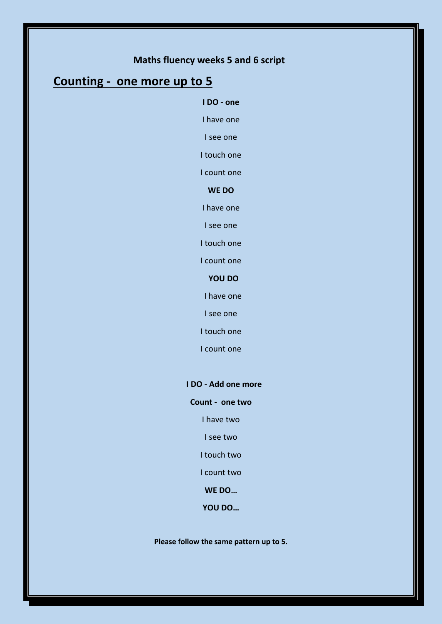# **Maths fluency weeks 5 and 6 script**

# **Counting - one more up to 5**

#### **I DO - one**

I have one

I see one

I touch one

I count one

**WE DO**

I have one

I see one

I touch one

I count one

## **YOU DO**

I have one

I see one

I touch one

I count one

#### **I DO - Add one more**

### **Count - one two**

I have two

I see two

I touch two

I count two

**WE DO…**

**YOU DO…**

**Please follow the same pattern up to 5.**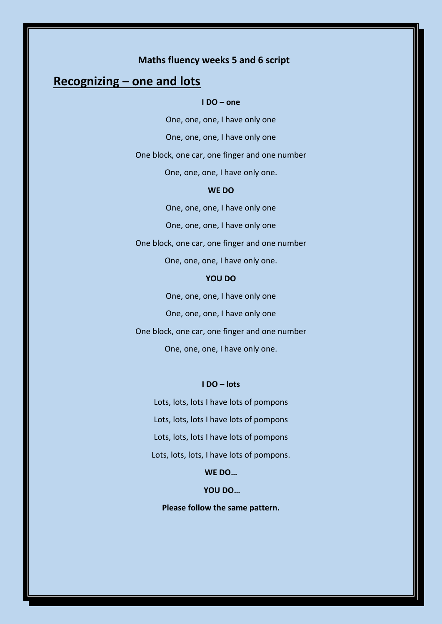# **Maths fluency weeks 5 and 6 script**

# **Recognizing – one and lots**

#### **I DO – one**

One, one, one, I have only one One, one, one, I have only one One block, one car, one finger and one number One, one, one, I have only one. **WE DO** One, one, one, I have only one

One, one, one, I have only one

One block, one car, one finger and one number

One, one, one, I have only one.

#### **YOU DO**

One, one, one, I have only one One, one, one, I have only one One block, one car, one finger and one number One, one, one, I have only one.

#### **I DO – lots**

Lots, lots, lots I have lots of pompons Lots, lots, lots I have lots of pompons Lots, lots, lots I have lots of pompons Lots, lots, lots, I have lots of pompons.

**WE DO…**

**YOU DO…**

**Please follow the same pattern.**